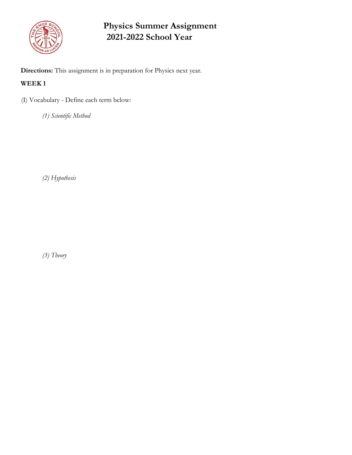

# **Physics Summer Assignment 2021-2022 School Year**

**Directions:** This assignment is in preparation for Physics next year.

# **WEEK 1**

- (I) Vocabulary Define each term below:
	- *(1) Scientific Method*

*(2) Hypothesis*

*(3) Theory*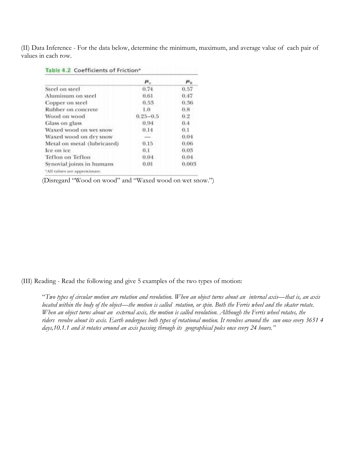(II) Data Inference - For the data below, determine the minimum, maximum, and average value of each pair of values in each row.

|                              | μ,           | $\boldsymbol{\mu}_k$ |
|------------------------------|--------------|----------------------|
| Steel on steel               | 0.74         | 0.57                 |
| Aluminum on steel            | 0.61         | 0.47                 |
| Copper on steel              | 0.53         | 0.36                 |
| Rubber on concrete           | 1.0          | 0.8                  |
| Wood on wood                 | $0.25 - 0.5$ | 0.2                  |
| Glass on glass               | 0.94         | 0.4                  |
| Waxed wood on wet snow       | 0.14         | 0.1                  |
| Waxed wood on dry snow       |              | 0.04                 |
| Metal on metal (lubricated)  | 0.15         | 0.06                 |
| Ice on ice                   | 0.1          | 0.03                 |
| Teflon on Teflon             | 0.04         | 0.04                 |
| Synovial joints in humans    | 0.01         | 0.003                |
| "All values are approximate. |              |                      |

(Disregard "Wood on wood" and "Waxed wood on wet snow.")

(III) Reading - Read the following and give 5 examples of the two types of motion:

"*Two types of circular motion are rotation and revolution. When an object turns about an internal axis—that is, an axis located within the body of the object—the motion is called rotation, or spin. Both the Ferris wheel and the skater rotate. When an object turns about an external axis, the motion is called revolution. Although the Ferris wheel rotates, the riders revolve about its axis. Earth undergoes both types of rotational motion. It revolves around the sun once every 3651 4 days,10.1.1 and it rotates around an axis passing through its geographical poles once every 24 hours."*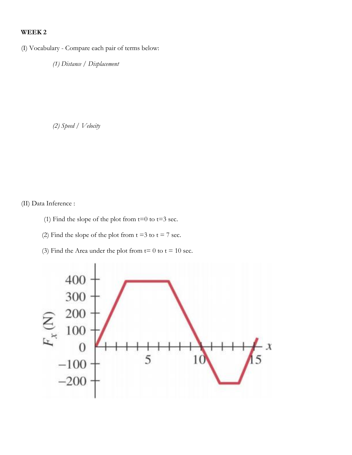# **WEEK 2**

- (I) Vocabulary Compare each pair of terms below:
	- *(1) Distance / Displacement*

*(2) Speed / Velocity*

(II) Data Inference :

- (1) Find the slope of the plot from  $t=0$  to  $t=3$  sec.
- (2) Find the slope of the plot from  $t = 3$  to  $t = 7$  sec.
- (3) Find the Area under the plot from  $t = 0$  to  $t = 10$  sec.

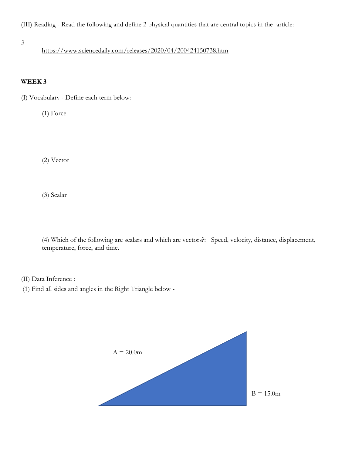(III) Reading - Read the following and define 2 physical quantities that are central topics in the article:

3

# https://www.sciencedaily.com/releases/2020/04/200424150738.htm

# **WEEK 3**

(I) Vocabulary - Define each term below:

(1) Force

(2) Vector

(3) Scalar

(4) Which of the following are scalars and which are vectors?: Speed, velocity, distance, displacement, temperature, force, and time.

(II) Data Inference :

(1) Find all sides and angles in the Right Triangle below -

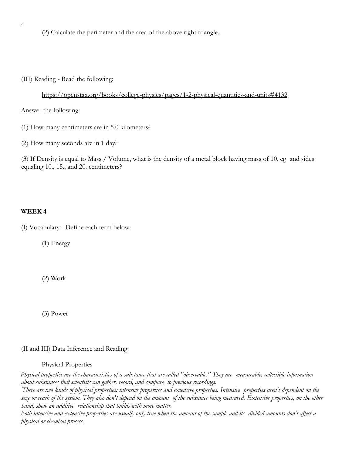(2) Calculate the perimeter and the area of the above right triangle.

(III) Reading - Read the following:

### https://openstax.org/books/college-physics/pages/1-2-physical-quantities-and-units#4132

Answer the following:

(1) How many centimeters are in 5.0 kilometers?

(2) How many seconds are in 1 day?

(3) If Density is equal to Mass / Volume, what is the density of a metal block having mass of 10. cg and sides equaling 10., 15., and 20. centimeters?

#### **WEEK 4**

(I) Vocabulary - Define each term below:

(1) Energy

(2) Work

(3) Power

#### (II and III) Data Inference and Reading:

#### Physical Properties

*Physical properties are the characteristics of a substance that are called "observable." They are measurable, collectible information about substances that scientists can gather, record, and compare to previous recordings.*

*There are two kinds of physical properties: intensive properties and extensive properties. Intensive properties aren't dependent on the size or reach of the system. They also don't depend on the amount of the substance being measured. Extensive properties, on the other hand, show an additive relationship that builds with more matter.*

*Both intensive and extensive properties are usually only true when the amount of the sample and its divided amounts don't affect a physical or chemical process.*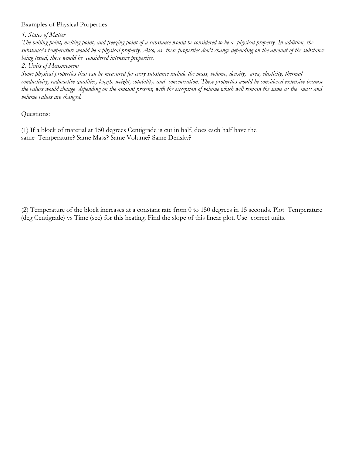Examples of Physical Properties:

*1. States of Matter*

*The boiling point, melting point, and freezing point of a substance would be considered to be a physical property. In addition, the substance's temperature would be a physical property. Also, as these properties don't change depending on the amount of the substance being tested, these would be considered intensive properties.*

*2. Units of Measurement*

*Some physical properties that can be measured for every substance include the mass, volume, density, area, elasticity, thermal conductivity, radioactive qualities, length, weight, solubility, and concentration. These properties would be considered extensive because the values would change depending on the amount present, with the exception of volume which will remain the same as the mass and volume values are changed.*

Questions:

(1) If a block of material at 150 degrees Centigrade is cut in half, does each half have the same Temperature? Same Mass? Same Volume? Same Density?

(2) Temperature of the block increases at a constant rate from 0 to 150 degrees in 15 seconds. Plot Temperature (deg Centigrade) vs Time (sec) for this heating. Find the slope of this linear plot. Use correct units.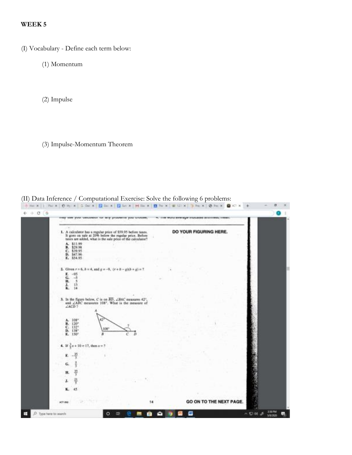#### **WEEK 5**

(I) Vocabulary - Define each term below:

(1) Momentum

(2) Impulse

(3) Impulse-Momentum Theorem

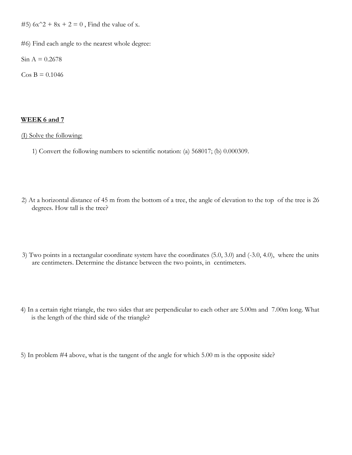#5)  $6x^2 + 8x + 2 = 0$ , Find the value of x.

#6) Find each angle to the nearest whole degree:

 $Sin A = 0.2678$ 

 $Cos B = 0.1046$ 

### **WEEK 6 and 7**

(I) Solve the following:

- 1) Convert the following numbers to scientific notation: (a) 568017; (b) 0.000309.
- 2) At a horizontal distance of 45 m from the bottom of a tree, the angle of elevation to the top of the tree is 26 degrees. How tall is the tree?
- 3) Two points in a rectangular coordinate system have the coordinates (5.0, 3.0) and (-3.0, 4.0), where the units are centimeters. Determine the distance between the two points, in centimeters.
- 4) In a certain right triangle, the two sides that are perpendicular to each other are 5.00m and 7.00m long. What is the length of the third side of the triangle?

5) In problem #4 above, what is the tangent of the angle for which 5.00 m is the opposite side?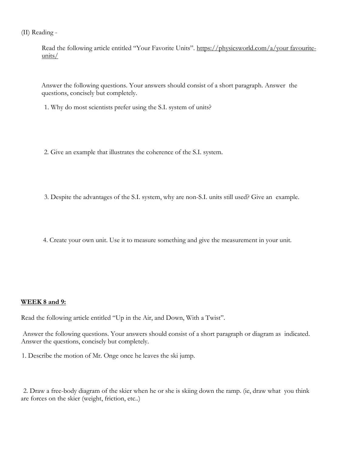(II) Reading -

Read the following article entitled "Your Favorite Units". https://physicsworld.com/a/your favourite $units/$ 

Answer the following questions. Your answers should consist of a short paragraph. Answer the questions, concisely but completely.

1. Why do most scientists prefer using the S.I. system of units?

2. Give an example that illustrates the coherence of the S.I. system.

3. Despite the advantages of the S.I. system, why are non-S.I. units still used? Give an example.

4. Create your own unit. Use it to measure something and give the measurement in your unit.

#### **WEEK 8 and 9:**

Read the following article entitled "Up in the Air, and Down, With a Twist".

Answer the following questions. Your answers should consist of a short paragraph or diagram as indicated. Answer the questions, concisely but completely.

1. Describe the motion of Mr. Onge once he leaves the ski jump.

2. Draw a free-body diagram of the skier when he or she is skiing down the ramp. (ie, draw what you think are forces on the skier (weight, friction, etc..)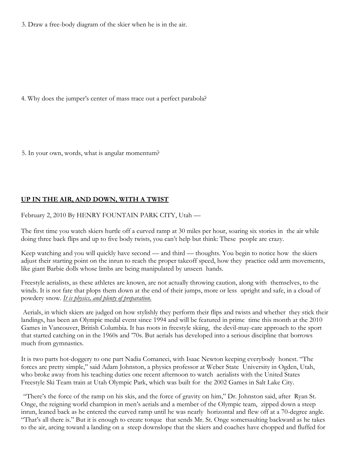3. Draw a free-body diagram of the skier when he is in the air.

4. Why does the jumper's center of mass trace out a perfect parabola?

5. In your own, words, what is angular momentum?

# **UP IN THE AIR, AND DOWN, WITH A TWIST**

February 2, 2010 By HENRY FOUNTAIN PARK CITY, Utah —

The first time you watch skiers hurtle off a curved ramp at 30 miles per hour, soaring six stories in the air while doing three back flips and up to five body twists, you can't help but think: These people are crazy.

Keep watching and you will quickly have second — and third — thoughts. You begin to notice how the skiers adjust their starting point on the inrun to reach the proper takeoff speed, how they practice odd arm movements, like giant Barbie dolls whose limbs are being manipulated by unseen hands.

Freestyle aerialists, as these athletes are known, are not actually throwing caution, along with themselves, to the winds. It is not fate that plops them down at the end of their jumps, more or less upright and safe, in a cloud of powdery snow. *It is physics, and plenty of preparation.*

Aerials, in which skiers are judged on how stylishly they perform their flips and twists and whether they stick their landings, has been an Olympic medal event since 1994 and will be featured in prime time this month at the 2010 Games in Vancouver, British Columbia. It has roots in freestyle skiing, the devil-may-care approach to the sport that started catching on in the 1960s and '70s. But aerials has developed into a serious discipline that borrows much from gymnastics.

It is two parts hot-doggery to one part Nadia Comaneci, with Isaac Newton keeping everybody honest. "The forces are pretty simple," said Adam Johnston, a physics professor at Weber State University in Ogden, Utah, who broke away from his teaching duties one recent afternoon to watch aerialists with the United States Freestyle Ski Team train at Utah Olympic Park, which was built for the 2002 Games in Salt Lake City.

"There's the force of the ramp on his skis, and the force of gravity on him," Dr. Johnston said, after Ryan St. Onge, the reigning world champion in men's aerials and a member of the Olympic team, zipped down a steep inrun, leaned back as he entered the curved ramp until he was nearly horizontal and flew off at a 70-degree angle. "That's all there is." But it is enough to create torque that sends Mr. St. Onge somersaulting backward as he takes to the air, arcing toward a landing on a steep downslope that the skiers and coaches have chopped and fluffed for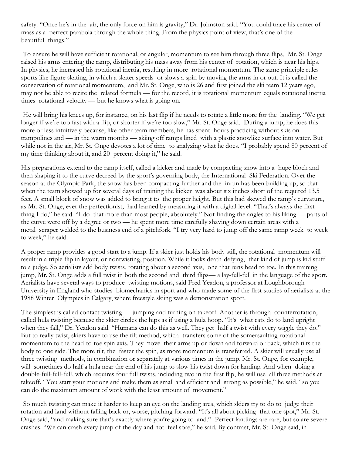safety. "Once he's in the air, the only force on him is gravity," Dr. Johnston said. "You could trace his center of mass as a perfect parabola through the whole thing. From the physics point of view, that's one of the beautiful things."

To ensure he will have sufficient rotational, or angular, momentum to see him through three flips, Mr. St. Onge raised his arms entering the ramp, distributing his mass away from his center of rotation, which is near his hips. In physics, he increased his rotational inertia, resulting in more rotational momentum. The same principle rules sports like figure skating, in which a skater speeds or slows a spin by moving the arms in or out. It is called the conservation of rotational momentum, and Mr. St. Onge, who is 26 and first joined the ski team 12 years ago, may not be able to recite the related formula — for the record, it is rotational momentum equals rotational inertia times rotational velocity — but he knows what is going on.

He will bring his knees up, for instance, on his last flip if he needs to rotate a little more for the landing. "We get longer if we're too fast with a flip, or shorter if we're too slow," Mr. St. Onge said. During a jump, he does this more or less intuitively because, like other team members, he has spent hours practicing without skis on trampolines and — in the warm months — skiing off ramps lined with a plastic snowlike surface into water. But while not in the air, Mr. St. Onge devotes a lot of time to analyzing what he does. "I probably spend 80 percent of my time thinking about it, and 20 percent doing it," he said.

His preparations extend to the ramp itself, called a kicker and made by compacting snow into a huge block and then shaping it to the curve decreed by the sport's governing body, the International Ski Federation. Over the season at the Olympic Park, the snow has been compacting further and the inrun has been building up, so that when the team showed up for several days of training the kicker was about six inches short of the required 13.5 feet. A small block of snow was added to bring it to the proper height. But this had skewed the ramp's curvature, as Mr. St. Onge, ever the perfectionist, had learned by measuring it with a digital level. "That's always the first thing I do," he said. "I do that more than most people, absolutely." Not finding the angles to his liking — parts of the curve were off by a degree or two — he spent more time carefully shaving down certain areas with a metal scraper welded to the business end of a pitchfork. "I try very hard to jump off the same ramp week to week to week," he said.

A proper ramp provides a good start to a jump. If a skier just holds his body still, the rotational momentum will result in a triple flip in layout, or nontwisting, position. While it looks death-defying, that kind of jump is kid stuff to a judge. So aerialists add body twists, rotating about a second axis, one that runs head to toe. In this training jump, Mr. St. Onge adds a full twist in both the second and third flips— a lay-full-full in the language of the sport. Aerialists have several ways to produce twisting motions, said Fred Yeadon, a professor at Loughborough University in England who studies biomechanics in sport and who made some of the first studies of aerialists at the 1988 Winter Olympics in Calgary, where freestyle skiing was a demonstration sport.

The simplest is called contact twisting — jumping and turning on takeoff. Another is through counterrotation, called hula twisting because the skier circles the hips as if using a hula hoop. "It's what cats do to land upright when they fall," Dr. Yeadon said. "Humans can do this as well. They get half a twist with every wiggle they do." But to really twist, skiers have to use the tilt method, which transfers some of the somersaulting rotational momentum to the head-to-toe spin axis. They move their arms up or down and forward or back, which tilts the body to one side. The more tilt, the faster the spin, as more momentum is transferred. A skier will usually use all three twisting methods, in combination or separately at various times in the jump. Mr. St. Onge, for example, will sometimes do half a hula near the end of his jump to slow his twist down for landing. And when doing a double-full-full-full, which requires four full twists, including two in the first flip, he will use all three methods at takeoff. "You start your motions and make them as small and efficient and strong as possible," he said, "so you can do the maximum amount of work with the least amount of movement."

So much twisting can make it harder to keep an eye on the landing area, which skiers try to do to judge their rotation and land without falling back or, worse, pitching forward. "It's all about picking that one spot," Mr. St. Onge said, "and making sure that's exactly where you're going to land." Perfect landings are rare, but so are severe crashes. "We can crash every jump of the day and not feel sore," he said. By contrast, Mr. St. Onge said, in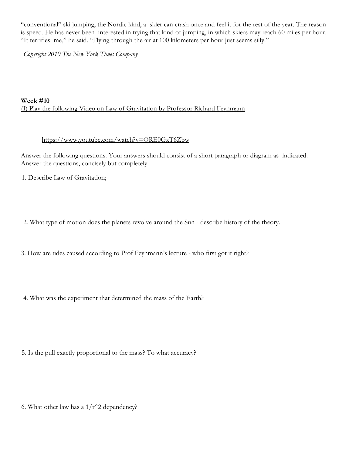"conventional" ski jumping, the Nordic kind, a skier can crash once and feel it for the rest of the year. The reason is speed. He has never been interested in trying that kind of jumping, in which skiers may reach 60 miles per hour. "It terrifies me," he said. "Flying through the air at 100 kilometers per hour just seems silly."

*Copyright 2010 The New York Times Company*

**Week #10** (I) Play the following Video on Law of Gravitation by Professor Richard Feynmann

### https://www.youtube.com/watch?v=QRE0GxT6Zbw

Answer the following questions. Your answers should consist of a short paragraph or diagram as indicated. Answer the questions, concisely but completely.

1. Describe Law of Gravitation;

2. What type of motion does the planets revolve around the Sun - describe history of the theory.

3. How are tides caused according to Prof Feynmann's lecture - who first got it right?

4. What was the experiment that determined the mass of the Earth?

5. Is the pull exactly proportional to the mass? To what accuracy?

6. What other law has a  $1/r^2$  dependency?